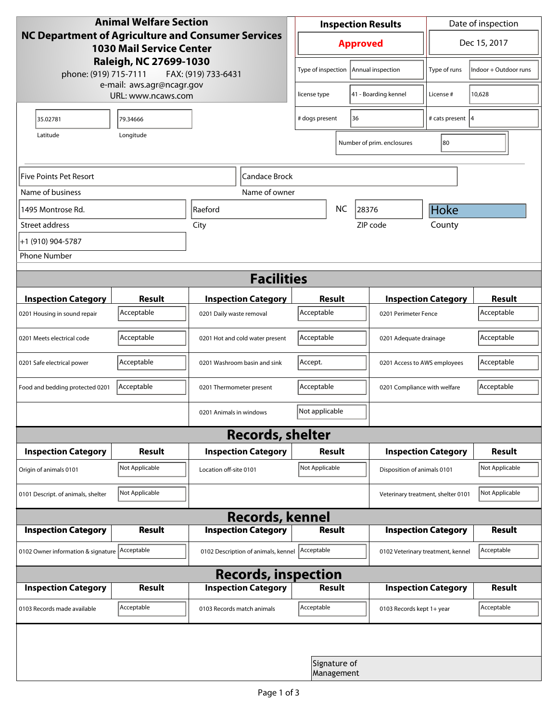| <b>Animal Welfare Section</b><br>NC Department of Agriculture and Consumer Services<br><b>1030 Mail Service Center</b><br>Raleigh, NC 27699-1030<br>phone: (919) 715-7111<br>FAX: (919) 733-6431 |                |                                     | <b>Inspection Results</b>                  |                            |                                    | Date of inspection          |                       |  |  |
|--------------------------------------------------------------------------------------------------------------------------------------------------------------------------------------------------|----------------|-------------------------------------|--------------------------------------------|----------------------------|------------------------------------|-----------------------------|-----------------------|--|--|
|                                                                                                                                                                                                  |                |                                     | <b>Approved</b>                            |                            |                                    | Dec 15, 2017                |                       |  |  |
|                                                                                                                                                                                                  |                |                                     | Type of inspection                         |                            | Annual inspection                  | Type of runs                | Indoor + Outdoor runs |  |  |
| e-mail: aws.agr@ncagr.gov<br>URL: www.ncaws.com                                                                                                                                                  |                |                                     | 41 - Boarding kennel<br>license type       |                            |                                    | License #                   | 10,628                |  |  |
| 35.02781                                                                                                                                                                                         | 79.34666       |                                     | 36<br># dogs present                       |                            |                                    | # cats present  4           |                       |  |  |
| Latitude                                                                                                                                                                                         | Longitude      |                                     |                                            |                            | Number of prim. enclosures         | 80                          |                       |  |  |
| Five Points Pet Resort<br> Candace Brock                                                                                                                                                         |                |                                     |                                            |                            |                                    |                             |                       |  |  |
| Name of business                                                                                                                                                                                 |                | Name of owner                       |                                            |                            |                                    |                             |                       |  |  |
| 1495 Montrose Rd.                                                                                                                                                                                |                | <b>Raeford</b>                      | <b>NC</b><br>28376                         |                            |                                    | Hoke                        |                       |  |  |
| Street address                                                                                                                                                                                   |                | City                                |                                            |                            | ZIP code                           | County                      |                       |  |  |
| +1 (910) 904-5787                                                                                                                                                                                |                |                                     |                                            |                            |                                    |                             |                       |  |  |
| <b>Phone Number</b>                                                                                                                                                                              |                |                                     |                                            |                            |                                    |                             |                       |  |  |
| <b>Facilities</b>                                                                                                                                                                                |                |                                     |                                            |                            |                                    |                             |                       |  |  |
| <b>Inspection Category</b>                                                                                                                                                                       | <b>Result</b>  | <b>Inspection Category</b>          |                                            | Result                     |                                    | <b>Inspection Category</b>  | <b>Result</b>         |  |  |
| 0201 Housing in sound repair                                                                                                                                                                     | Acceptable     | 0201 Daily waste removal            | Acceptable                                 |                            | 0201 Perimeter Fence               |                             | Acceptable            |  |  |
| 0201 Meets electrical code                                                                                                                                                                       | Acceptable     | 0201 Hot and cold water present     | Acceptable                                 |                            | 0201 Adequate drainage             |                             | Acceptable            |  |  |
| 0201 Safe electrical power                                                                                                                                                                       | Acceptable     | 0201 Washroom basin and sink        | Accept.                                    |                            | 0201 Access to AWS employees       |                             | Acceptable            |  |  |
| Food and bedding protected 0201                                                                                                                                                                  | Acceptable     | 0201 Thermometer present            | Acceptable<br>0201 Compliance with welfare |                            |                                    | Acceptable                  |                       |  |  |
|                                                                                                                                                                                                  |                | 0201 Animals in windows             | Not applicable                             |                            |                                    |                             |                       |  |  |
| <b>Records, shelter</b>                                                                                                                                                                          |                |                                     |                                            |                            |                                    |                             |                       |  |  |
| <b>Inspection Category</b>                                                                                                                                                                       | Result         | <b>Inspection Category</b>          | <b>Result</b>                              |                            |                                    | <b>Inspection Category</b>  | <b>Result</b>         |  |  |
| Origin of animals 0101                                                                                                                                                                           | Not Applicable | Location off-site 0101              | Not Applicable                             |                            |                                    | Disposition of animals 0101 |                       |  |  |
| 0101 Descript. of animals, shelter                                                                                                                                                               | Not Applicable |                                     |                                            |                            | Veterinary treatment, shelter 0101 |                             | Not Applicable        |  |  |
| <b>Records, kennel</b>                                                                                                                                                                           |                |                                     |                                            |                            |                                    |                             |                       |  |  |
| <b>Inspection Category</b>                                                                                                                                                                       | <b>Result</b>  | <b>Inspection Category</b>          |                                            | <b>Result</b>              |                                    | <b>Inspection Category</b>  | <b>Result</b>         |  |  |
| 0102 Owner information & signature Acceptable                                                                                                                                                    |                | 0102 Description of animals, kennel | Acceptable                                 |                            | 0102 Veterinary treatment, kennel  |                             | Acceptable            |  |  |
| <b>Records, inspection</b>                                                                                                                                                                       |                |                                     |                                            |                            |                                    |                             |                       |  |  |
| <b>Inspection Category</b>                                                                                                                                                                       | <b>Result</b>  | <b>Inspection Category</b>          |                                            | Result                     |                                    | <b>Inspection Category</b>  | <b>Result</b>         |  |  |
| 0103 Records made available                                                                                                                                                                      | Acceptable     | 0103 Records match animals          | Acceptable                                 |                            | 0103 Records kept 1+ year          |                             | Acceptable            |  |  |
|                                                                                                                                                                                                  |                |                                     |                                            |                            |                                    |                             |                       |  |  |
|                                                                                                                                                                                                  |                |                                     |                                            | Signature of<br>Management |                                    |                             |                       |  |  |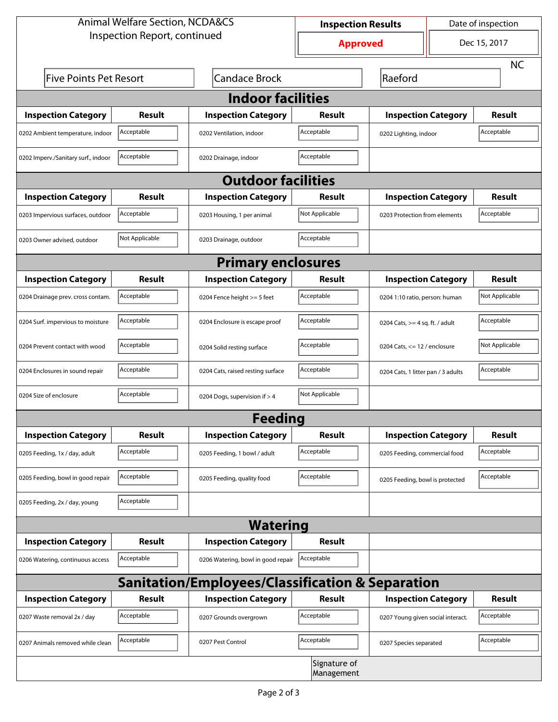| <b>Animal Welfare Section, NCDA&amp;CS</b> |                |                                                             | <b>Inspection Results</b>  |                                     | Date of inspection |                |  |  |
|--------------------------------------------|----------------|-------------------------------------------------------------|----------------------------|-------------------------------------|--------------------|----------------|--|--|
| Inspection Report, continued               |                |                                                             | <b>Approved</b>            |                                     | Dec 15, 2017       |                |  |  |
|                                            |                |                                                             |                            |                                     |                    | <b>NC</b>      |  |  |
| <b>Five Points Pet Resort</b>              |                | <b>Candace Brock</b>                                        |                            | Raeford                             |                    |                |  |  |
| <b>Indoor facilities</b>                   |                |                                                             |                            |                                     |                    |                |  |  |
| <b>Inspection Category</b>                 | Result         | <b>Inspection Category</b>                                  | Result                     | <b>Inspection Category</b>          |                    | <b>Result</b>  |  |  |
| 0202 Ambient temperature, indoor           | Acceptable     | 0202 Ventilation, indoor                                    | Acceptable                 | Acceptable<br>0202 Lighting, indoor |                    |                |  |  |
| 0202 Imperv./Sanitary surf., indoor        | Acceptable     | 0202 Drainage, indoor                                       | Acceptable                 |                                     |                    |                |  |  |
| <b>Outdoor facilities</b>                  |                |                                                             |                            |                                     |                    |                |  |  |
| <b>Inspection Category</b>                 | Result         | <b>Inspection Category</b>                                  | Result                     | <b>Inspection Category</b>          |                    | <b>Result</b>  |  |  |
| 0203 Impervious surfaces, outdoor          | Acceptable     | 0203 Housing, 1 per animal                                  | Not Applicable             | 0203 Protection from elements       |                    | Acceptable     |  |  |
| 0203 Owner advised, outdoor                | Not Applicable | 0203 Drainage, outdoor                                      | Acceptable                 |                                     |                    |                |  |  |
| <b>Primary enclosures</b>                  |                |                                                             |                            |                                     |                    |                |  |  |
| <b>Inspection Category</b>                 | Result         | <b>Inspection Category</b>                                  | Result                     | <b>Inspection Category</b>          |                    | <b>Result</b>  |  |  |
| 0204 Drainage prev. cross contam.          | Acceptable     | 0204 Fence height >= 5 feet                                 | Acceptable                 | 0204 1:10 ratio, person: human      |                    | Not Applicable |  |  |
| 0204 Surf. impervious to moisture          | Acceptable     | 0204 Enclosure is escape proof                              | Acceptable                 | 0204 Cats, $>=$ 4 sq. ft. / adult   |                    | Acceptable     |  |  |
| 0204 Prevent contact with wood             | Acceptable     | 0204 Solid resting surface                                  | Acceptable                 | 0204 Cats, $<= 12$ / enclosure      |                    | Not Applicable |  |  |
| 0204 Enclosures in sound repair            | Acceptable     | 0204 Cats, raised resting surface                           | Acceptable                 | 0204 Cats, 1 litter pan / 3 adults  |                    | Acceptable     |  |  |
| 0204 Size of enclosure                     | Acceptable     | 0204 Dogs, supervision if > 4                               | Not Applicable             |                                     |                    |                |  |  |
|                                            |                | <b>Feeding</b>                                              |                            |                                     |                    |                |  |  |
| <b>Inspection Category</b>                 | <b>Result</b>  | <b>Inspection Category</b>                                  | Result                     | <b>Inspection Category</b>          |                    | <b>Result</b>  |  |  |
| 0205 Feeding, 1x / day, adult              | Acceptable     | 0205 Feeding, 1 bowl / adult                                | Acceptable                 | 0205 Feeding, commercial food       |                    | Acceptable     |  |  |
| 0205 Feeding, bowl in good repair          | Acceptable     | 0205 Feeding, quality food                                  | Acceptable                 | 0205 Feeding, bowl is protected     |                    | Acceptable     |  |  |
| 0205 Feeding, 2x / day, young              | Acceptable     |                                                             |                            |                                     |                    |                |  |  |
|                                            |                | <b>Watering</b>                                             |                            |                                     |                    |                |  |  |
| <b>Inspection Category</b>                 | <b>Result</b>  | <b>Inspection Category</b>                                  | Result                     |                                     |                    |                |  |  |
| 0206 Watering, continuous access           | Acceptable     | 0206 Watering, bowl in good repair                          | Acceptable                 |                                     |                    |                |  |  |
|                                            |                | <b>Sanitation/Employees/Classification &amp; Separation</b> |                            |                                     |                    |                |  |  |
| <b>Inspection Category</b>                 | <b>Result</b>  | <b>Inspection Category</b>                                  | Result                     | <b>Inspection Category</b>          |                    | <b>Result</b>  |  |  |
| 0207 Waste removal 2x / day                | Acceptable     | 0207 Grounds overgrown                                      | Acceptable                 | 0207 Young given social interact.   |                    | Acceptable     |  |  |
| 0207 Animals removed while clean           | Acceptable     | 0207 Pest Control                                           | Acceptable                 | 0207 Species separated              |                    | Acceptable     |  |  |
|                                            |                |                                                             | Signature of<br>Management |                                     |                    |                |  |  |